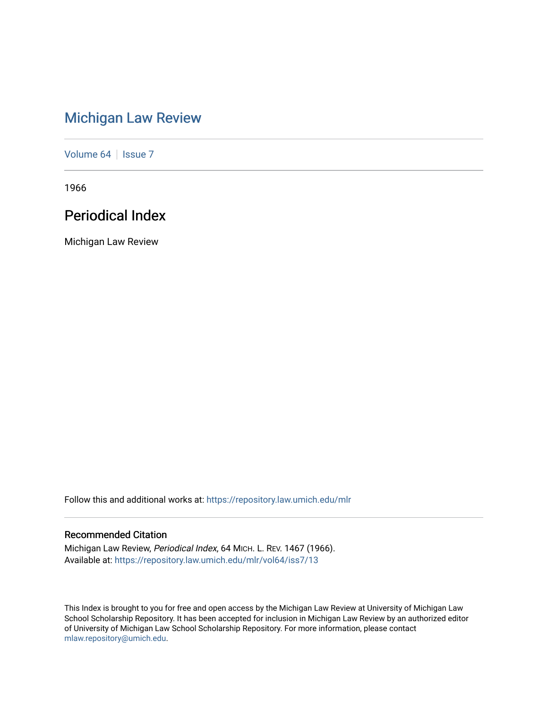# [Michigan Law Review](https://repository.law.umich.edu/mlr)

[Volume 64](https://repository.law.umich.edu/mlr/vol64) | [Issue 7](https://repository.law.umich.edu/mlr/vol64/iss7)

1966

# Periodical Index

Michigan Law Review

Follow this and additional works at: [https://repository.law.umich.edu/mlr](https://repository.law.umich.edu/mlr?utm_source=repository.law.umich.edu%2Fmlr%2Fvol64%2Fiss7%2F13&utm_medium=PDF&utm_campaign=PDFCoverPages) 

# Recommended Citation

Michigan Law Review, Periodical Index, 64 MICH. L. REV. 1467 (1966). Available at: [https://repository.law.umich.edu/mlr/vol64/iss7/13](https://repository.law.umich.edu/mlr/vol64/iss7/13?utm_source=repository.law.umich.edu%2Fmlr%2Fvol64%2Fiss7%2F13&utm_medium=PDF&utm_campaign=PDFCoverPages) 

This Index is brought to you for free and open access by the Michigan Law Review at University of Michigan Law School Scholarship Repository. It has been accepted for inclusion in Michigan Law Review by an authorized editor of University of Michigan Law School Scholarship Repository. For more information, please contact [mlaw.repository@umich.edu.](mailto:mlaw.repository@umich.edu)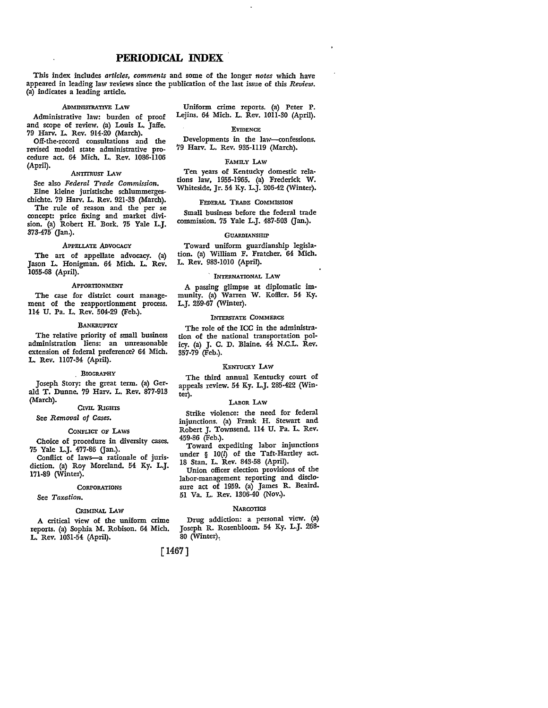# **PERIODICAL** INDEX

This index includes *articles, comments* and some of the longer *notes* which have appeared in leading law reviews since the publication of the last issue of this *Review.*  (a) indicates a leading article.

## ADMINISTRATIVE LAW

Administrative law: burden of proof and scope of review. (a) Louis L. Jaffe. 79 Harv. L. Rev. 914-20 (March).

Off-the-record consultations and the revised model state administrative procedure act. 64 Mich. L. Rev. 1086-1106 (April).

#### ANTITRUsr LAW

See also *Federal Trade Commission.*  Eine kleine juristische schlummergeschichte. 79 Harv. L. Rev. 921-33 (March).

The rule of reason and the per se concept: price fixing and market division. (a) Robert H. Bork. 75 Yale L.J. 373-475 (Jan.).

#### APPELLATE ADVOCACY

The art of appellate advocacy. (a) Jason L. Honigman. 64 Mich. L. Rev. 1055-68 (April).

#### APPORTIONMENT

The case for district court management of the reapportionment process. ll4 U. Pa. L. Rev. 504-29 (Feb.).

#### **BANKRUPTCY**

The relative priority of small business administration liens: an unreasonable extension of federal preference? 64 Mich. L. Rev. 1107-34 (April).

# BIOGRAPHY

Joseph Story: the great term. (a) Gerald T. Dunne. 79 Harv. L. Rev. 877-913 (March).

### CIVIL 'RIGHTS

See *Removal of Cases.* 

#### CONFLICT OF LAWS

Choice of procedure in diversity cases. 75 Yale L.J. 477-86 (Jan.).

Conflict of laws-a rationale of jurisdiction. (a) Roy Moreland. 54 Ky. L.J. 171-89 (Winter).

#### **CORPORATIONS**

#### See *Taxation.*

# CRIMINAL LAW

A critical view of the uniform crime reports. (a) Sophia M. Robison. 64 Mich. L. Rev. 1031-54 (April).

Uniform crime reports. (a) Peter P. Lejins. 64 Mich. L. Rev. 1011-30 (April).

### EVIDENCE

Developments in the law-confessions. 79 Harv. L. Rev. 935-1119 (March).

#### FAMILY LAW

Ten years of Kentucky domestic relations law, 1955-1965. (a) Frederick W. Whiteside, Jr. 54 Ky. L.J. 206-42 (Winter).

#### FEDERAL TRADE COMMISSION

Small business before the federal trade commission. 75 Yale L.J. 487-503 (Jan.).

#### **GUARDIANSHIP**

Toward uniform guardianship legislation. (a) William F. Fratcher. 64 Mich. L. Rev. 983-1010 (April).

#### , INTERNATIONAL LAW

A passing glimpse at diplomatic immunity. (a) Warren W. Koffler. 54 Ky. L.J. 259-67 (Winter).

#### INTERSTATE COMMERCE

The role of the ICC in the administra• tion of the national transportation policy. (a) J. C. D. Blaine. 44 N.C.L. Rev. 357-79 (Feb.).

#### KENTUCKY LAW

The third annual Kentucky court of appeals review. 54 Ky. L.J. 285-422 (Win• ter).

#### LABOR LAw

Strike violence: the need for federal injunctions. (a) Frank H. Stewart and Robert J. Townsend. 114 U. Pa. L. Rev. 459-86 (Feb.).

Toward expediting labor injunctions under  $\S$  10( $l$ ) of the Taft-Hartley act. 18 Stan. L. Rev. 843-58 (April).

Union officer election provisions of the labor-management reporting and disclo• sure act of 1959. (a) James R. Beaird. 51 Va. L. Rev. 1306-40 (Nov.).

#### **NARCOTICS**

Drug addiction: a personal view. (a) Joseph R. Rosenbloom. 54 Ky. L.J. 268-  $80$  (Winter).

[ 1467]